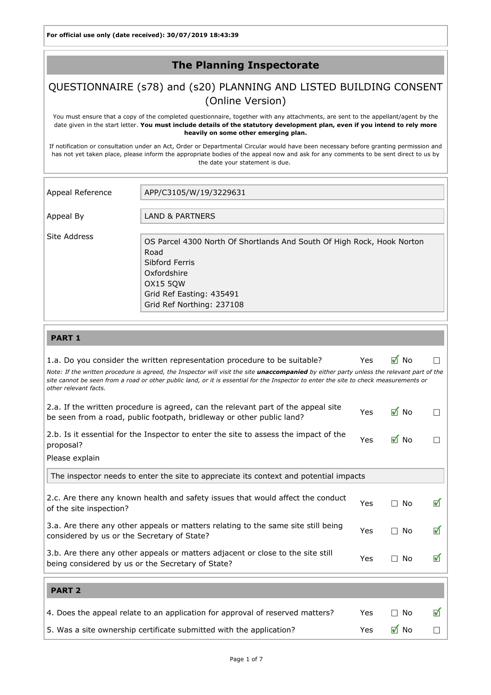For official use only (date received): 30/07/2019 18:43:39

## The Planning Inspectorate

# QUESTIONNAIRE (s78) and (s20) PLANNING AND LISTED BUILDING CONSENT (Online Version)

You must ensure that a copy of the completed questionnaire, together with any attachments, are sent to the appellant/agent by the date given in the start letter. You must include details of the statutory development plan, even if you intend to rely more heavily on some other emerging plan.

If notification or consultation under an Act, Order or Departmental Circular would have been necessary before granting permission and has not yet taken place, please inform the appropriate bodies of the appeal now and ask for any comments to be sent direct to us by the date your statement is due.

| Appeal Reference | APP/C3105/W/19/3229631                                                                                                                                                               |
|------------------|--------------------------------------------------------------------------------------------------------------------------------------------------------------------------------------|
| Appeal By        | LAND & PARTNERS                                                                                                                                                                      |
| Site Address     | OS Parcel 4300 North Of Shortlands And South Of High Rock, Hook Norton<br>Road<br>Sibford Ferris<br>Oxfordshire<br>OX15 50W<br>Grid Ref Easting: 435491<br>Grid Ref Northing: 237108 |

### PART 1

| 1.a. Do you consider the written representation procedure to be suitable?                                                                                                                                                                                                                                          | Yes | M No                | m |
|--------------------------------------------------------------------------------------------------------------------------------------------------------------------------------------------------------------------------------------------------------------------------------------------------------------------|-----|---------------------|---|
| Note: If the written procedure is agreed, the Inspector will visit the site <i>unaccompanied</i> by either party unless the relevant part of the<br>site cannot be seen from a road or other public land, or it is essential for the Inspector to enter the site to check measurements or<br>other relevant facts. |     |                     |   |
| 2.a. If the written procedure is agreed, can the relevant part of the appeal site<br>be seen from a road, public footpath, bridleway or other public land?                                                                                                                                                         | Yes | $\blacksquare$ No   | П |
| 2.b. Is it essential for the Inspector to enter the site to assess the impact of the<br>proposal?                                                                                                                                                                                                                  |     | $\blacksquare$ No   |   |
| Please explain                                                                                                                                                                                                                                                                                                     |     |                     |   |
| The inspector needs to enter the site to appreciate its context and potential impacts                                                                                                                                                                                                                              |     |                     |   |
| 2.c. Are there any known health and safety issues that would affect the conduct<br>of the site inspection?                                                                                                                                                                                                         | Yes | $\square$ No        | ✔ |
| 3.a. Are there any other appeals or matters relating to the same site still being<br>considered by us or the Secretary of State?                                                                                                                                                                                   | Yes | No<br>$\mathcal{L}$ | ✔ |
| 3.b. Are there any other appeals or matters adjacent or close to the site still<br>being considered by us or the Secretary of State?                                                                                                                                                                               | Yes | No<br>$\mathbf{1}$  | ᢦ |
| <b>PART 2</b>                                                                                                                                                                                                                                                                                                      |     |                     |   |
| 4. Does the appeal relate to an application for approval of reserved matters?                                                                                                                                                                                                                                      | Yes | No                  | ✔ |
| 5. Was a site ownership certificate submitted with the application?                                                                                                                                                                                                                                                | Yes | M No                |   |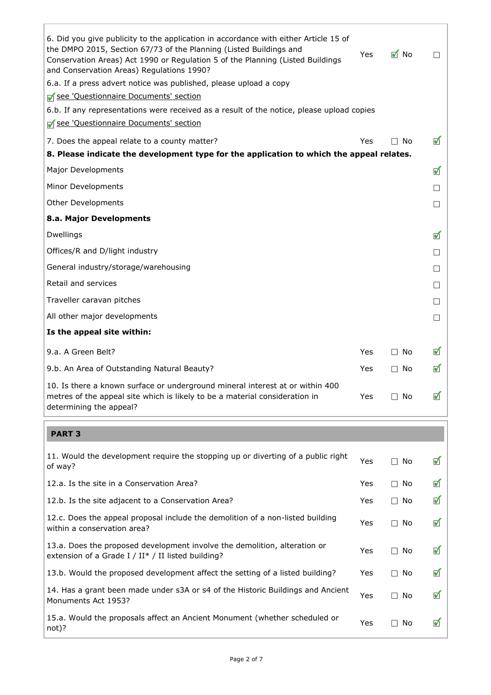| 6. Did you give publicity to the application in accordance with either Article 15 of<br>the DMPO 2015, Section 67/73 of the Planning (Listed Buildings and<br>Conservation Areas) Act 1990 or Regulation 5 of the Planning (Listed Buildings<br>and Conservation Areas) Regulations 1990? | Yes | $\blacksquare$ No   | $\Box$               |
|-------------------------------------------------------------------------------------------------------------------------------------------------------------------------------------------------------------------------------------------------------------------------------------------|-----|---------------------|----------------------|
| 6.a. If a press advert notice was published, please upload a copy                                                                                                                                                                                                                         |     |                     |                      |
| See 'Questionnaire Documents' section                                                                                                                                                                                                                                                     |     |                     |                      |
| 6.b. If any representations were received as a result of the notice, please upload copies                                                                                                                                                                                                 |     |                     |                      |
| See 'Questionnaire Documents' section                                                                                                                                                                                                                                                     |     |                     |                      |
| 7. Does the appeal relate to a county matter?                                                                                                                                                                                                                                             | Yes | No<br>$\mathcal{L}$ | $\blacktriangledown$ |
| 8. Please indicate the development type for the application to which the appeal relates.                                                                                                                                                                                                  |     |                     |                      |
| Major Developments                                                                                                                                                                                                                                                                        |     |                     | $\blacktriangledown$ |
| Minor Developments                                                                                                                                                                                                                                                                        |     |                     | $\mathcal{L}$        |
| <b>Other Developments</b>                                                                                                                                                                                                                                                                 |     |                     | $\mathcal{L}$        |
| 8.a. Major Developments                                                                                                                                                                                                                                                                   |     |                     |                      |
| Dwellings                                                                                                                                                                                                                                                                                 |     |                     | $\blacktriangledown$ |
| Offices/R and D/light industry                                                                                                                                                                                                                                                            |     |                     | $\mathcal{L}$        |
| General industry/storage/warehousing                                                                                                                                                                                                                                                      |     |                     | $\mathcal{L}$        |
| Retail and services                                                                                                                                                                                                                                                                       |     |                     | $\mathcal{L}$        |
| Traveller caravan pitches                                                                                                                                                                                                                                                                 |     |                     | $\mathcal{L}$        |
| All other major developments                                                                                                                                                                                                                                                              |     |                     | $\mathcal{L}$        |
| Is the appeal site within:                                                                                                                                                                                                                                                                |     |                     |                      |
| 9.a. A Green Belt?                                                                                                                                                                                                                                                                        | Yes | $\Box$ No           | $\blacktriangledown$ |
| 9.b. An Area of Outstanding Natural Beauty?                                                                                                                                                                                                                                               | Yes | $\square$ No        | $\blacktriangledown$ |
| 10. Is there a known surface or underground mineral interest at or within 400<br>metres of the appeal site which is likely to be a material consideration in<br>determining the appeal?                                                                                                   | Yes | $\square$ No        | $\blacktriangledown$ |
| <b>PART 3</b>                                                                                                                                                                                                                                                                             |     |                     |                      |
|                                                                                                                                                                                                                                                                                           |     |                     |                      |
| 11. Would the development require the stopping up or diverting of a public right<br>of way?                                                                                                                                                                                               | Yes | $\square$ No        | $\blacktriangledown$ |
| 12.a. Is the site in a Conservation Area?                                                                                                                                                                                                                                                 | Yes | $\Box$ No           | $\blacktriangledown$ |
| 12.b. Is the site adjacent to a Conservation Area?                                                                                                                                                                                                                                        | Yes | $\square$ No        | $\blacktriangledown$ |
| 12.c. Does the appeal proposal include the demolition of a non-listed building<br>within a conservation area?                                                                                                                                                                             | Yes | $\square$ No        | $\blacktriangledown$ |
| 13.a. Does the proposed development involve the demolition, alteration or<br>extension of a Grade I / II <sup>*</sup> / II listed building?                                                                                                                                               | Yes | $\square$ No        | $\blacktriangledown$ |
| 13.b. Would the proposed development affect the setting of a listed building?                                                                                                                                                                                                             | Yes | $\Box$ No           | $\blacktriangledown$ |
| 14. Has a grant been made under s3A or s4 of the Historic Buildings and Ancient<br>Monuments Act 1953?                                                                                                                                                                                    | Yes | $\Box$ No           | $\blacktriangledown$ |
| 15.a. Would the proposals affect an Ancient Monument (whether scheduled or<br>not)?                                                                                                                                                                                                       | Yes | $\square$ No        | $\blacktriangledown$ |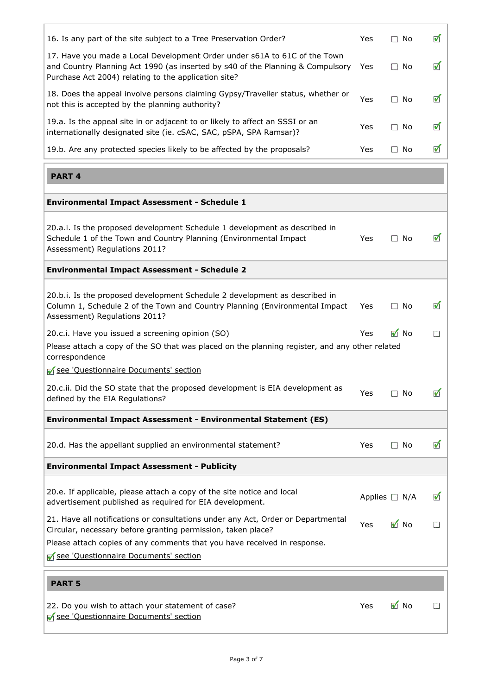| 16. Is any part of the site subject to a Tree Preservation Order?                                                                                                                                                   | Yes  | $\Box$ No          | ✔             |
|---------------------------------------------------------------------------------------------------------------------------------------------------------------------------------------------------------------------|------|--------------------|---------------|
| 17. Have you made a Local Development Order under s61A to 61C of the Town<br>and Country Planning Act 1990 (as inserted by s40 of the Planning & Compulsory<br>Purchase Act 2004) relating to the application site? | Yes  | $\Box$ No          | ✔             |
| 18. Does the appeal involve persons claiming Gypsy/Traveller status, whether or<br>not this is accepted by the planning authority?                                                                                  | Yes  | $\Box$ No          | ✔             |
| 19.a. Is the appeal site in or adjacent to or likely to affect an SSSI or an<br>internationally designated site (ie. cSAC, SAC, pSPA, SPA Ramsar)?                                                                  | Yes  | $\Box$ No          | ✔             |
| 19.b. Are any protected species likely to be affected by the proposals?                                                                                                                                             | Yes  | $\Box$ No          | ✔             |
| <b>PART 4</b>                                                                                                                                                                                                       |      |                    |               |
| <b>Environmental Impact Assessment - Schedule 1</b>                                                                                                                                                                 |      |                    |               |
| 20.a.i. Is the proposed development Schedule 1 development as described in<br>Schedule 1 of the Town and Country Planning (Environmental Impact<br>Assessment) Regulations 2011?                                    | Yes  | $\Box$ No          | ✔             |
| <b>Environmental Impact Assessment - Schedule 2</b>                                                                                                                                                                 |      |                    |               |
| 20.b.i. Is the proposed development Schedule 2 development as described in<br>Column 1, Schedule 2 of the Town and Country Planning (Environmental Impact<br>Assessment) Regulations 2011?                          | Yes  | $\Box$ No          | ✔             |
| 20.c.i. Have you issued a screening opinion (SO)                                                                                                                                                                    | Yes  | $\blacksquare$ No  | $\Box$        |
| Please attach a copy of the SO that was placed on the planning register, and any other related<br>correspondence<br>□ see 'Questionnaire Documents' section                                                         |      |                    |               |
| 20.c.ii. Did the SO state that the proposed development is EIA development as<br>defined by the EIA Regulations?                                                                                                    | Yes  | $\square$ No       | ✔             |
| Environmental Impact Assessment - Environmental Statement (ES)                                                                                                                                                      |      |                    |               |
| 20.d. Has the appellant supplied an environmental statement?                                                                                                                                                        | Yes  | $\Box$ No          | ✔             |
| <b>Environmental Impact Assessment - Publicity</b>                                                                                                                                                                  |      |                    |               |
| 20.e. If applicable, please attach a copy of the site notice and local<br>advertisement published as required for EIA development.                                                                                  |      | Applies $\Box$ N/A | ✔             |
| 21. Have all notifications or consultations under any Act, Order or Departmental<br>Circular, necessary before granting permission, taken place?                                                                    | Yes. | M No               |               |
| Please attach copies of any comments that you have received in response.<br>See 'Questionnaire Documents' section                                                                                                   |      |                    |               |
| <b>PART 5</b>                                                                                                                                                                                                       |      |                    |               |
| 22. Do you wish to attach your statement of case?<br>See 'Questionnaire Documents' section                                                                                                                          | Yes  | M No               | <b>Talent</b> |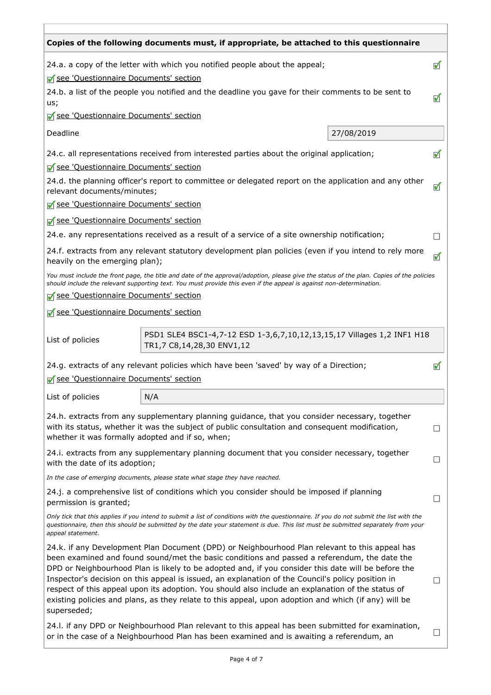|                                                                                                           | Copies of the following documents must, if appropriate, be attached to this questionnaire                                                                                                                                                                                                                                                                                                                                                                                                                                                                                                                               |  |                      |                      |
|-----------------------------------------------------------------------------------------------------------|-------------------------------------------------------------------------------------------------------------------------------------------------------------------------------------------------------------------------------------------------------------------------------------------------------------------------------------------------------------------------------------------------------------------------------------------------------------------------------------------------------------------------------------------------------------------------------------------------------------------------|--|----------------------|----------------------|
| 24.a. a copy of the letter with which you notified people about the appeal;                               |                                                                                                                                                                                                                                                                                                                                                                                                                                                                                                                                                                                                                         |  | ✔                    |                      |
| See 'Questionnaire Documents' section                                                                     |                                                                                                                                                                                                                                                                                                                                                                                                                                                                                                                                                                                                                         |  |                      |                      |
| 24.b. a list of the people you notified and the deadline you gave for their comments to be sent to<br>us; |                                                                                                                                                                                                                                                                                                                                                                                                                                                                                                                                                                                                                         |  | $\blacktriangledown$ |                      |
| See 'Questionnaire Documents' section                                                                     |                                                                                                                                                                                                                                                                                                                                                                                                                                                                                                                                                                                                                         |  |                      |                      |
| Deadline<br>27/08/2019                                                                                    |                                                                                                                                                                                                                                                                                                                                                                                                                                                                                                                                                                                                                         |  |                      |                      |
|                                                                                                           | 24.c. all representations received from interested parties about the original application;                                                                                                                                                                                                                                                                                                                                                                                                                                                                                                                              |  |                      | $\blacktriangledown$ |
| See 'Questionnaire Documents' section                                                                     |                                                                                                                                                                                                                                                                                                                                                                                                                                                                                                                                                                                                                         |  |                      |                      |
|                                                                                                           | 24.d. the planning officer's report to committee or delegated report on the application and any other<br>relevant documents/minutes;                                                                                                                                                                                                                                                                                                                                                                                                                                                                                    |  |                      | ✔                    |
| See 'Questionnaire Documents' section                                                                     |                                                                                                                                                                                                                                                                                                                                                                                                                                                                                                                                                                                                                         |  |                      |                      |
| See 'Questionnaire Documents' section                                                                     |                                                                                                                                                                                                                                                                                                                                                                                                                                                                                                                                                                                                                         |  |                      |                      |
|                                                                                                           | 24.e. any representations received as a result of a service of a site ownership notification;                                                                                                                                                                                                                                                                                                                                                                                                                                                                                                                           |  |                      |                      |
| heavily on the emerging plan);                                                                            | 24.f. extracts from any relevant statutory development plan policies (even if you intend to rely more                                                                                                                                                                                                                                                                                                                                                                                                                                                                                                                   |  |                      | ✔                    |
|                                                                                                           | You must include the front page, the title and date of the approval/adoption, please give the status of the plan. Copies of the policies<br>should include the relevant supporting text. You must provide this even if the appeal is against non-determination.                                                                                                                                                                                                                                                                                                                                                         |  |                      |                      |
| See 'Questionnaire Documents' section                                                                     |                                                                                                                                                                                                                                                                                                                                                                                                                                                                                                                                                                                                                         |  |                      |                      |
| See 'Questionnaire Documents' section                                                                     |                                                                                                                                                                                                                                                                                                                                                                                                                                                                                                                                                                                                                         |  |                      |                      |
| List of policies                                                                                          | PSD1 SLE4 BSC1-4,7-12 ESD 1-3,6,7,10,12,13,15,17 Villages 1,2 INF1 H18<br>TR1,7 C8,14,28,30 ENV1,12                                                                                                                                                                                                                                                                                                                                                                                                                                                                                                                     |  |                      |                      |
|                                                                                                           | 24.g. extracts of any relevant policies which have been 'saved' by way of a Direction;                                                                                                                                                                                                                                                                                                                                                                                                                                                                                                                                  |  |                      | И                    |
| See 'Questionnaire Documents' section                                                                     |                                                                                                                                                                                                                                                                                                                                                                                                                                                                                                                                                                                                                         |  |                      |                      |
| List of policies                                                                                          | N/A                                                                                                                                                                                                                                                                                                                                                                                                                                                                                                                                                                                                                     |  |                      |                      |
| whether it was formally adopted and if so, when;                                                          | 24.h. extracts from any supplementary planning guidance, that you consider necessary, together<br>with its status, whether it was the subject of public consultation and consequent modification,                                                                                                                                                                                                                                                                                                                                                                                                                       |  |                      | $\Box$               |
| with the date of its adoption;                                                                            | 24.i. extracts from any supplementary planning document that you consider necessary, together                                                                                                                                                                                                                                                                                                                                                                                                                                                                                                                           |  |                      |                      |
|                                                                                                           | In the case of emerging documents, please state what stage they have reached.                                                                                                                                                                                                                                                                                                                                                                                                                                                                                                                                           |  |                      |                      |
| permission is granted;                                                                                    | 24.j. a comprehensive list of conditions which you consider should be imposed if planning                                                                                                                                                                                                                                                                                                                                                                                                                                                                                                                               |  |                      |                      |
| appeal statement.                                                                                         | Only tick that this applies if you intend to submit a list of conditions with the questionnaire. If you do not submit the list with the<br>questionnaire, then this should be submitted by the date your statement is due. This list must be submitted separately from your                                                                                                                                                                                                                                                                                                                                             |  |                      |                      |
| superseded;                                                                                               | 24.k. if any Development Plan Document (DPD) or Neighbourhood Plan relevant to this appeal has<br>been examined and found sound/met the basic conditions and passed a referendum, the date the<br>DPD or Neighbourhood Plan is likely to be adopted and, if you consider this date will be before the<br>Inspector's decision on this appeal is issued, an explanation of the Council's policy position in<br>respect of this appeal upon its adoption. You should also include an explanation of the status of<br>existing policies and plans, as they relate to this appeal, upon adoption and which (if any) will be |  |                      | $\Box$               |
|                                                                                                           | 24.I. if any DPD or Neighbourhood Plan relevant to this appeal has been submitted for examination,<br>or in the case of a Neighbourhood Plan has been examined and is awaiting a referendum, an                                                                                                                                                                                                                                                                                                                                                                                                                         |  |                      |                      |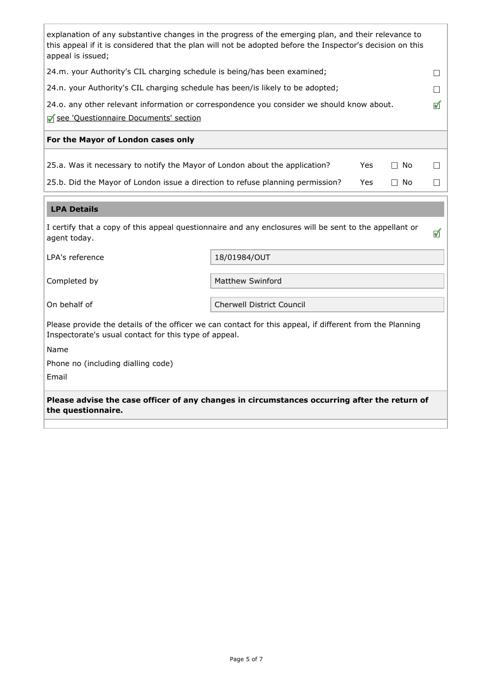| explanation of any substantive changes in the progress of the emerging plan, and their relevance to<br>this appeal if it is considered that the plan will not be adopted before the Inspector's decision on this<br>appeal is issued; |            |                                              |  |
|---------------------------------------------------------------------------------------------------------------------------------------------------------------------------------------------------------------------------------------|------------|----------------------------------------------|--|
| 24.m. your Authority's CIL charging schedule is being/has been examined;                                                                                                                                                              |            |                                              |  |
| 24.n. your Authority's CIL charging schedule has been/is likely to be adopted;                                                                                                                                                        |            |                                              |  |
| 24.o. any other relevant information or correspondence you consider we should know about.                                                                                                                                             |            | √                                            |  |
| See 'Questionnaire Documents' section                                                                                                                                                                                                 |            |                                              |  |
| For the Mayor of London cases only                                                                                                                                                                                                    |            |                                              |  |
| 25.a. Was it necessary to notify the Mayor of London about the application?<br>25.b. Did the Mayor of London issue a direction to refuse planning permission?                                                                         | Yes<br>Yes | No.<br><b>Talent</b><br>No.<br>$\mathcal{L}$ |  |
|                                                                                                                                                                                                                                       |            |                                              |  |

### LPA Details

| I certify that a copy of this appeal questionnaire and any enclosures will be sent to the appellant or |  |
|--------------------------------------------------------------------------------------------------------|--|
| agent today.                                                                                           |  |

LPA's reference 18/01984/OUT

Completed by **Matthew Swinford** Matthew Swinford

On behalf of Cherwell District Council

Please provide the details of the officer we can contact for this appeal, if different from the Planning Inspectorate's usual contact for this type of appeal.

Name

Phone no (including dialling code)

Email

Please advise the case officer of any changes in circumstances occurring after the return of the questionnaire.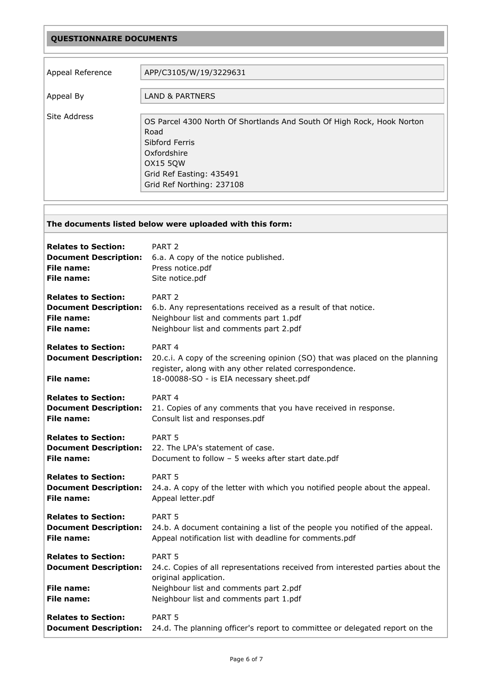### QUESTIONNAIRE DOCUMENTS

| Appeal Reference | APP/C3105/W/19/3229631                                                                                                                                                                      |
|------------------|---------------------------------------------------------------------------------------------------------------------------------------------------------------------------------------------|
| Appeal By        | <b>LAND &amp; PARTNERS</b>                                                                                                                                                                  |
| Site Address     | OS Parcel 4300 North Of Shortlands And South Of High Rock, Hook Norton<br>Road<br>Sibford Ferris<br>Oxfordshire<br><b>OX15 50W</b><br>Grid Ref Easting: 435491<br>Grid Ref Northing: 237108 |

# <span id="page-5-0"></span>The documents listed below were uploaded with this form: Relates to Section: PART 2 Document Description: 6.a. A copy of the notice published. File name: Press notice.pdf File name: Site notice.pdf Relates to Section: PART 2 **Document Description:** 6.b. Any representations received as a result of that notice. File name: Neighbour list and comments part 1.pdf File name: Neighbour list and comments part 2.pdf Relates to Section: PART 4 **Document Description:** 20.c.i. A copy of the screening opinion (SO) that was placed on the planning register, along with any other related correspondence. File name: 18-00088-SO - is EIA necessary sheet.pdf Relates to Section: PART 4 **Document Description:** 21. Copies of any comments that you have received in response. File name: Consult list and responses.pdf Relates to Section: PART 5 Document Description: 22. The LPA's statement of case. **File name:** Document to follow – 5 weeks after start date.pdf Relates to Section: PART 5 **Document Description:** 24.a. A copy of the letter with which you notified people about the appeal. File name: Appeal letter.pdf Relates to Section: PART 5 **Document Description:** 24.b. A document containing a list of the people you notified of the appeal. File name: Appeal notification list with deadline for comments.pdf Relates to Section: PART 5 **Document Description:** 24.c. Copies of all representations received from interested parties about the original application. File name: Neighbour list and comments part 2.pdf File name: Neighbour list and comments part 1.pdf Relates to Section: PART 5 **Document Description:** 24.d. The planning officer's report to committee or delegated report on the